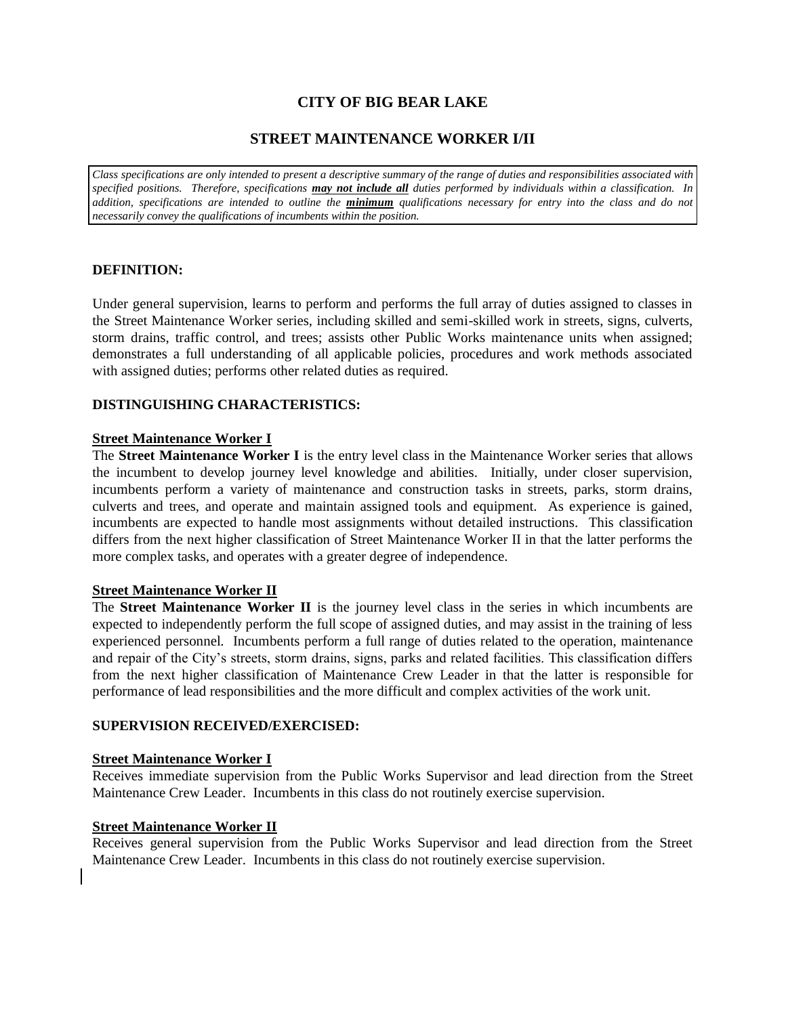# **CITY OF BIG BEAR LAKE**

## **STREET MAINTENANCE WORKER I/II**

*Class specifications are only intended to present a descriptive summary of the range of duties and responsibilities associated with specified positions. Therefore, specifications may not include all duties performed by individuals within a classification. In addition, specifications are intended to outline the minimum qualifications necessary for entry into the class and do not necessarily convey the qualifications of incumbents within the position.*

### **DEFINITION:**

Under general supervision, learns to perform and performs the full array of duties assigned to classes in the Street Maintenance Worker series, including skilled and semi-skilled work in streets, signs, culverts, storm drains, traffic control, and trees; assists other Public Works maintenance units when assigned; demonstrates a full understanding of all applicable policies, procedures and work methods associated with assigned duties; performs other related duties as required.

## **DISTINGUISHING CHARACTERISTICS:**

### **Street Maintenance Worker I**

The **Street Maintenance Worker I** is the entry level class in the Maintenance Worker series that allows the incumbent to develop journey level knowledge and abilities. Initially, under closer supervision, incumbents perform a variety of maintenance and construction tasks in streets, parks, storm drains, culverts and trees, and operate and maintain assigned tools and equipment. As experience is gained, incumbents are expected to handle most assignments without detailed instructions. This classification differs from the next higher classification of Street Maintenance Worker II in that the latter performs the more complex tasks, and operates with a greater degree of independence.

#### **Street Maintenance Worker II**

The **Street Maintenance Worker II** is the journey level class in the series in which incumbents are expected to independently perform the full scope of assigned duties, and may assist in the training of less experienced personnel. Incumbents perform a full range of duties related to the operation, maintenance and repair of the City's streets, storm drains, signs, parks and related facilities. This classification differs from the next higher classification of Maintenance Crew Leader in that the latter is responsible for performance of lead responsibilities and the more difficult and complex activities of the work unit.

#### **SUPERVISION RECEIVED/EXERCISED:**

### **Street Maintenance Worker I**

Receives immediate supervision from the Public Works Supervisor and lead direction from the Street Maintenance Crew Leader. Incumbents in this class do not routinely exercise supervision.

## **Street Maintenance Worker II**

Receives general supervision from the Public Works Supervisor and lead direction from the Street Maintenance Crew Leader. Incumbents in this class do not routinely exercise supervision.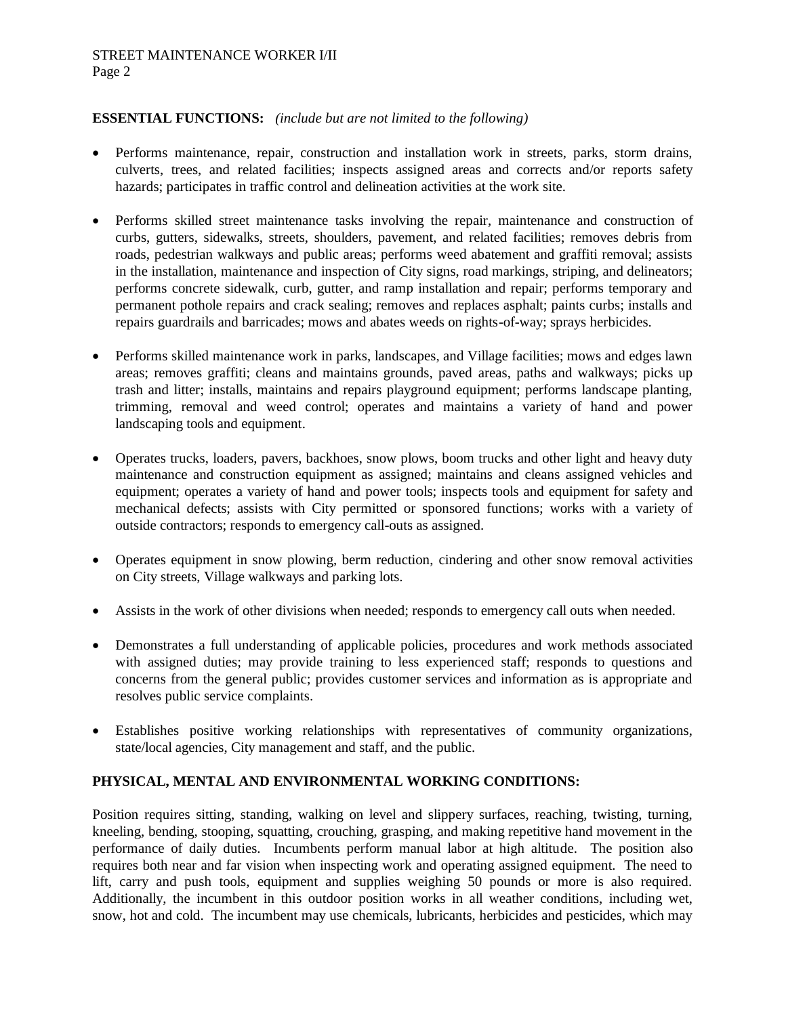## **ESSENTIAL FUNCTIONS:** *(include but are not limited to the following)*

- Performs maintenance, repair, construction and installation work in streets, parks, storm drains, culverts, trees, and related facilities; inspects assigned areas and corrects and/or reports safety hazards; participates in traffic control and delineation activities at the work site.
- Performs skilled street maintenance tasks involving the repair, maintenance and construction of curbs, gutters, sidewalks, streets, shoulders, pavement, and related facilities; removes debris from roads, pedestrian walkways and public areas; performs weed abatement and graffiti removal; assists in the installation, maintenance and inspection of City signs, road markings, striping, and delineators; performs concrete sidewalk, curb, gutter, and ramp installation and repair; performs temporary and permanent pothole repairs and crack sealing; removes and replaces asphalt; paints curbs; installs and repairs guardrails and barricades; mows and abates weeds on rights-of-way; sprays herbicides.
- Performs skilled maintenance work in parks, landscapes, and Village facilities; mows and edges lawn areas; removes graffiti; cleans and maintains grounds, paved areas, paths and walkways; picks up trash and litter; installs, maintains and repairs playground equipment; performs landscape planting, trimming, removal and weed control; operates and maintains a variety of hand and power landscaping tools and equipment.
- Operates trucks, loaders, pavers, backhoes, snow plows, boom trucks and other light and heavy duty maintenance and construction equipment as assigned; maintains and cleans assigned vehicles and equipment; operates a variety of hand and power tools; inspects tools and equipment for safety and mechanical defects; assists with City permitted or sponsored functions; works with a variety of outside contractors; responds to emergency call-outs as assigned.
- Operates equipment in snow plowing, berm reduction, cindering and other snow removal activities on City streets, Village walkways and parking lots.
- Assists in the work of other divisions when needed; responds to emergency call outs when needed.
- Demonstrates a full understanding of applicable policies, procedures and work methods associated with assigned duties; may provide training to less experienced staff; responds to questions and concerns from the general public; provides customer services and information as is appropriate and resolves public service complaints.
- Establishes positive working relationships with representatives of community organizations, state/local agencies, City management and staff, and the public.

## **PHYSICAL, MENTAL AND ENVIRONMENTAL WORKING CONDITIONS:**

Position requires sitting, standing, walking on level and slippery surfaces, reaching, twisting, turning, kneeling, bending, stooping, squatting, crouching, grasping, and making repetitive hand movement in the performance of daily duties. Incumbents perform manual labor at high altitude. The position also requires both near and far vision when inspecting work and operating assigned equipment. The need to lift, carry and push tools, equipment and supplies weighing 50 pounds or more is also required. Additionally, the incumbent in this outdoor position works in all weather conditions, including wet, snow, hot and cold. The incumbent may use chemicals, lubricants, herbicides and pesticides, which may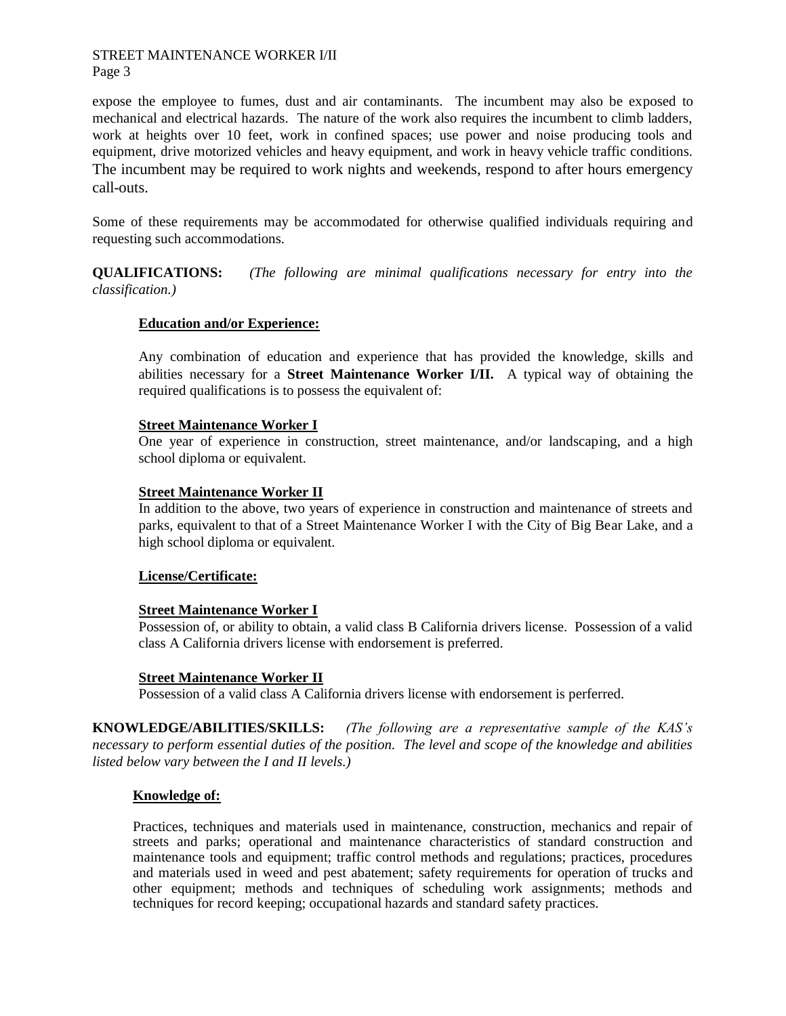# STREET MAINTENANCE WORKER I/II

Page 3

expose the employee to fumes, dust and air contaminants. The incumbent may also be exposed to mechanical and electrical hazards. The nature of the work also requires the incumbent to climb ladders, work at heights over 10 feet, work in confined spaces; use power and noise producing tools and equipment, drive motorized vehicles and heavy equipment, and work in heavy vehicle traffic conditions. The incumbent may be required to work nights and weekends, respond to after hours emergency call-outs.

Some of these requirements may be accommodated for otherwise qualified individuals requiring and requesting such accommodations.

**QUALIFICATIONS:** *(The following are minimal qualifications necessary for entry into the classification.)*

## **Education and/or Experience:**

Any combination of education and experience that has provided the knowledge, skills and abilities necessary for a **Street Maintenance Worker I/II.** A typical way of obtaining the required qualifications is to possess the equivalent of:

## **Street Maintenance Worker I**

One year of experience in construction, street maintenance, and/or landscaping, and a high school diploma or equivalent.

## **Street Maintenance Worker II**

In addition to the above, two years of experience in construction and maintenance of streets and parks, equivalent to that of a Street Maintenance Worker I with the City of Big Bear Lake, and a high school diploma or equivalent.

## **License/Certificate:**

## **Street Maintenance Worker I**

Possession of, or ability to obtain, a valid class B California drivers license. Possession of a valid class A California drivers license with endorsement is preferred.

## **Street Maintenance Worker II**

Possession of a valid class A California drivers license with endorsement is perferred.

**KNOWLEDGE/ABILITIES/SKILLS:** *(The following are a representative sample of the KAS's necessary to perform essential duties of the position. The level and scope of the knowledge and abilities listed below vary between the I and II levels.)* 

## **Knowledge of:**

Practices, techniques and materials used in maintenance, construction, mechanics and repair of streets and parks; operational and maintenance characteristics of standard construction and maintenance tools and equipment; traffic control methods and regulations; practices, procedures and materials used in weed and pest abatement; safety requirements for operation of trucks and other equipment; methods and techniques of scheduling work assignments; methods and techniques for record keeping; occupational hazards and standard safety practices.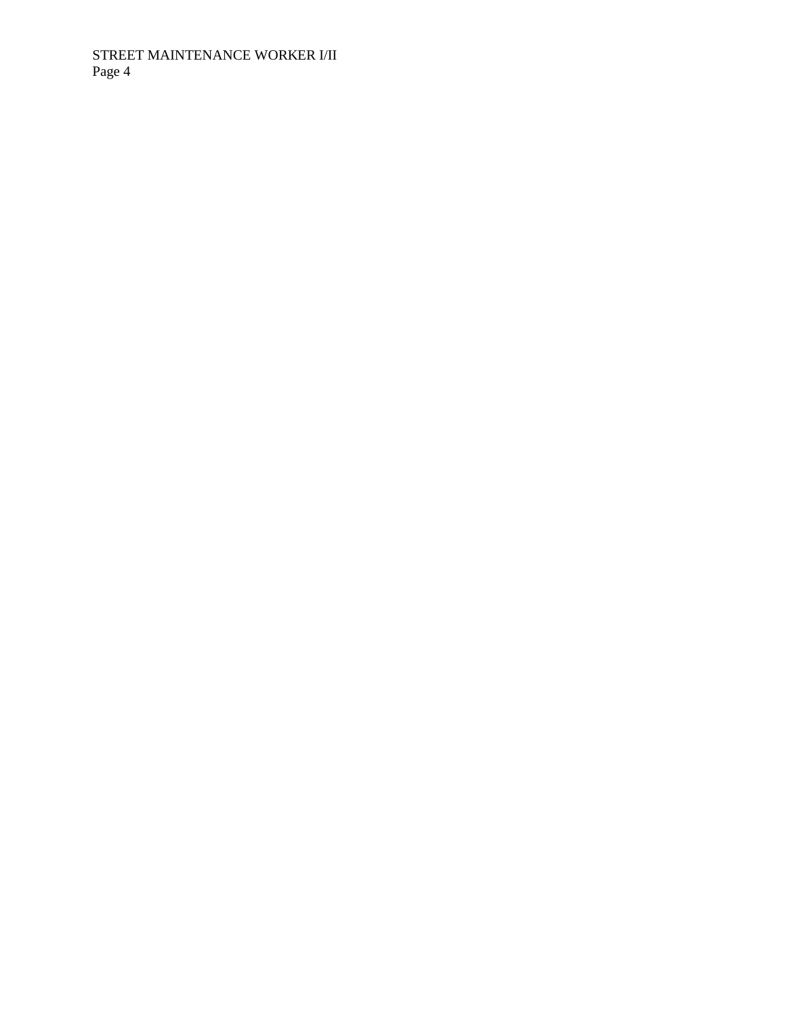# STREET MAINTENANCE WORKER I/II Page 4